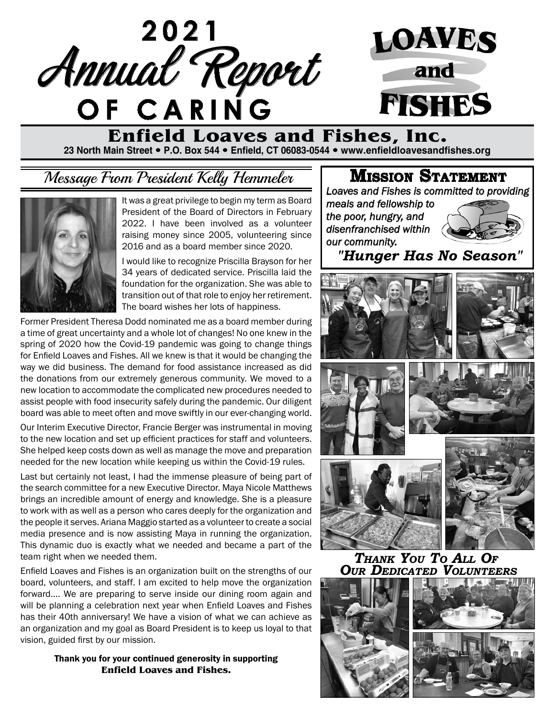**2021** Annual Report **of Caring**



# **Enfield Loaves and Fishes, Inc.**

**23 North Main Street P.O. Box 544 Enfield, CT 06083-0544 www.enfieldloavesandfishes.org**

## Message From President Kelly Hemmeler



It was a great privilege to begin my term as Board President of the Board of Directors in February 2022. I have been involved as a volunteer raising money since 2005, volunteering since 2016 and as a board member since 2020.

I would like to recognize Priscilla Brayson for her 34 years of dedicated service. Priscilla laid the foundation for the organization. She was able to transition out of that role to enjoy her retirement. The board wishes her lots of happiness.

Former President Theresa Dodd nominated me as a board member during a time of great uncertainty and a whole lot of changes! No one knew in the spring of 2020 how the Covid-19 pandemic was going to change things for Enfield Loaves and Fishes. All we knew is that it would be changing the way we did business. The demand for food assistance increased as did the donations from our extremely generous community. We moved to a new location to accommodate the complicated new procedures needed to assist people with food insecurity safely during the pandemic. Our diligent board was able to meet often and move swiftly in our ever-changing world.

Our Interim Executive Director, Francie Berger was instrumental in moving to the new location and set up efficient practices for staff and volunteers. She helped keep costs down as well as manage the move and preparation needed for the new location while keeping us within the Covid-19 rules.

Last but certainly not least, I had the immense pleasure of being part of the search committee for a new Executive Director. Maya Nicole Matthews brings an incredible amount of energy and knowledge. She is a pleasure to work with as well as a person who cares deeply for the organization and the people it serves. Ariana Maggio started as a volunteer to create a social media presence and is now assisting Maya in running the organization. This dynamic duo is exactly what we needed and became a part of the team right when we needed them.

Enfield Loaves and Fishes is an organization built on the strengths of our board, volunteers, and staff. I am excited to help move the organization forward.... We are preparing to serve inside our dining room again and will be planning a celebration next year when Enfield Loaves and Fishes has their 40th anniversary! We have a vision of what we can achieve as an organization and my goal as Board President is to keep us loyal to that vision, guided first by our mission.

> Thank you for your continued generosity in supporting **Enfield Loaves and Fishes.**

#### **Mission Statement**

*Loaves and Fishes is committed to providing* 

*meals and fellowship to the poor, hungry, and disenfranchised within our community.*



*"Hunger Has No Season"*



*Thank You To All Of Our Dedicated Volunteers*

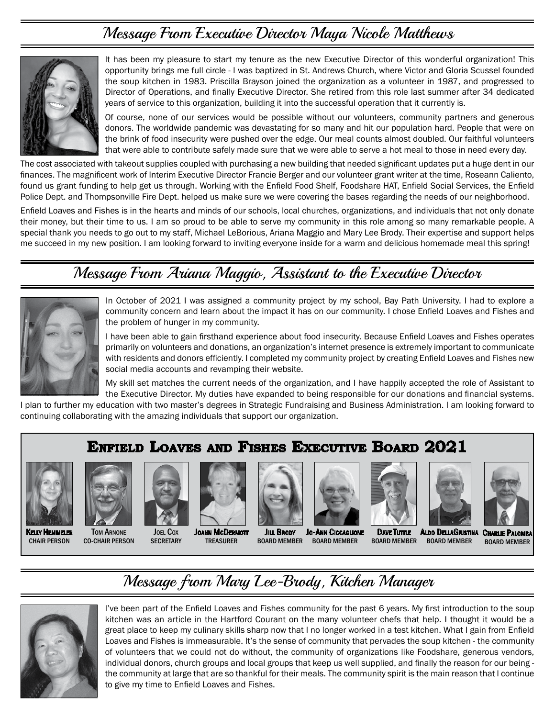### Message From Executive Director Maya Nicole Matthews



It has been my pleasure to start my tenure as the new Executive Director of this wonderful organization! This opportunity brings me full circle - I was baptized in St. Andrews Church, where Victor and Gloria Scussel founded the soup kitchen in 1983. Priscilla Brayson joined the organization as a volunteer in 1987, and progressed to Director of Operations, and finally Executive Director. She retired from this role last summer after 34 dedicated years of service to this organization, building it into the successful operation that it currently is.

Of course, none of our services would be possible without our volunteers, community partners and generous donors. The worldwide pandemic was devastating for so many and hit our population hard. People that were on the brink of food insecurity were pushed over the edge. Our meal counts almost doubled. Our faithful volunteers that were able to contribute safely made sure that we were able to serve a hot meal to those in need every day.

The cost associated with takeout supplies coupled with purchasing a new building that needed significant updates put a huge dent in our finances. The magnificent work of Interim Executive Director Francie Berger and our volunteer grant writer at the time, Roseann Caliento, found us grant funding to help get us through. Working with the Enfield Food Shelf, Foodshare HAT, Enfield Social Services, the Enfield Police Dept. and Thompsonville Fire Dept. helped us make sure we were covering the bases regarding the needs of our neighborhood.

Enfield Loaves and Fishes is in the hearts and minds of our schools, local churches, organizations, and individuals that not only donate their money, but their time to us. I am so proud to be able to serve my community in this role among so many remarkable people. A special thank you needs to go out to my staff, Michael LeBorious, Ariana Maggio and Mary Lee Brody. Their expertise and support helps me succeed in my new position. I am looking forward to inviting everyone inside for a warm and delicious homemade meal this spring!

### Message From Ariana Maggio, Assistant to the Executive Director



In October of 2021 I was assigned a community project by my school, Bay Path University. I had to explore a community concern and learn about the impact it has on our community. I chose Enfield Loaves and Fishes and the problem of hunger in my community.

I have been able to gain firsthand experience about food insecurity. Because Enfield Loaves and Fishes operates primarily on volunteers and donations, an organization's internet presence is extremely important to communicate with residents and donors efficiently. I completed my community project by creating Enfield Loaves and Fishes new social media accounts and revamping their website.

My skill set matches the current needs of the organization, and I have happily accepted the role of Assistant to the Executive Director. My duties have expanded to being responsible for our donations and financial systems.

I plan to further my education with two master's degrees in Strategic Fundraising and Business Administration. I am looking forward to continuing collaborating with the amazing individuals that support our organization.

### **Enfield Loaves and Fishes Executive Board 2021**



Kelly Hemmeler Chair Person Tom Arnone Co-Chair Person



Joel Cox **SECRETARY** 



**JOANN MCDERMOTT TREASURER Juli Broov** Board Member



Jo-Ann Ciccaglione Board Member





Dave Tuttle Aldo DellaGiustina Board Member

**CHARLIE PALOMBA** Board Member Board Member

## Message from Mary Lee-Brody, Kitchen Manager



I've been part of the Enfield Loaves and Fishes community for the past 6 years. My first introduction to the soup kitchen was an article in the Hartford Courant on the many volunteer chefs that help. I thought it would be a great place to keep my culinary skills sharp now that I no longer worked in a test kitchen. What I gain from Enfield Loaves and Fishes is immeasurable. It's the sense of community that pervades the soup kitchen - the community of volunteers that we could not do without, the community of organizations like Foodshare, generous vendors, individual donors, church groups and local groups that keep us well supplied, and finally the reason for our being the community at large that are so thankful for their meals. The community spirit is the main reason that I continue to give my time to Enfield Loaves and Fishes.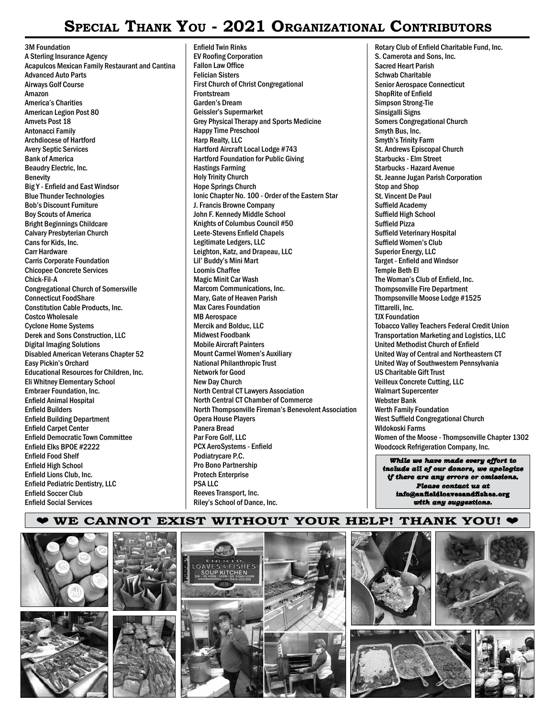### **Special Thank You - 2021 Organizational Contributors**

3M Foundation A Sterling Insurance Agency Acapulcos Mexican Family Restaurant and Cantina Advanced Auto Parts Airways Golf Course Amazon America's Charities American Legion Post 80 Amvets Post 18 Antonacci Family Archdiocese of Hartford Avery Septic Services Bank of America Beaudry Electric, Inc. Benevity Big Y - Enfield and East Windsor Blue Thunder Technologies Bob's Discount Furniture Boy Scouts of America Bright Beginnings Childcare Calvary Presbyterian Church Cans for Kids, Inc. Carr Hardware Carris Corporate Foundation Chicopee Concrete Services Chick-Fil-A Congregational Church of Somersville Connecticut FoodShare Constitution Cable Products, Inc. Costco Wholesale Cyclone Home Systems Derek and Sons Construction, LLC Digital Imaging Solutions Disabled American Veterans Chapter 52 Easy Pickin's Orchard Educational Resources for Children, Inc. Eli Whitney Elementary School Embraer Foundation, Inc. Enfield Animal Hospital Enfield Builders Enfield Building Department Enfield Carpet Center Enfield Democratic Town Committee Enfield Elks BPOE #2222 Enfield Food Shelf Enfield High School Enfield Lions Club, Inc. Enfield Pediatric Dentistry, LLC Enfield Soccer Club Enfield Social Services

Enfield Twin Rinks EV Roofing Corporation Fallon Law Office Felician Sisters First Church of Christ Congregational Frontstream Garden's Dream Geissler's Supermarket Grey Physical Therapy and Sports Medicine Happy Time Preschool Harp Realty, LLC Hartford Aircraft Local Lodge #743 Hartford Foundation for Public Giving Hastings Farming Holy Trinity Church Hope Springs Church Ionic Chapter No. 100 - Order of the Eastern Star J. Francis Browne Company John F. Kennedy Middle School Knights of Columbus Council #50 Leete-Stevens Enfield Chapels Legitimate Ledgers, LLC Leighton, Katz, and Drapeau, LLC Lil' Buddy's Mini Mart Loomis Chaffee Magic Minit Car Wash Marcom Communications, Inc. Mary, Gate of Heaven Parish Max Cares Foundation MB Aerospace Mercik and Bolduc, LLC Midwest Foodbank Mobile Aircraft Painters Mount Carmel Women's Auxiliary National Philanthropic Trust Network for Good New Day Church North Central CT Lawyers Association North Central CT Chamber of Commerce North Thompsonville Fireman's Benevolent Association Opera House Players Panera Bread Par Fore Golf, LLC PCX AeroSystems - Enfield Podiatrycare P.C. Pro Bono Partnership Protech Enterprise PSA LLC Reeves Transport, Inc. Riley's School of Dance, Inc.

*While we have made every effort to* Rotary Club of Enfield Charitable Fund, Inc. S. Camerota and Sons, Inc. Sacred Heart Parish Schwab Charitable Senior Aerospace Connecticut ShopRite of Enfield Simpson Strong-Tie Sinsigalli Signs Somers Congregational Church Smyth Bus, Inc. Smyth's Trinity Farm St. Andrews Episcopal Church Starbucks - Elm Street Starbucks - Hazard Avenue St. Jeanne Jugan Parish Corporation Stop and Shop St. Vincent De Paul Suffield Academy Suffield High School Suffield Pizza Suffield Veterinary Hospital Suffield Women's Club Superior Energy, LLC Target - Enfield and Windsor Temple Beth El The Woman's Club of Enfield, Inc. Thompsonville Fire Department Thompsonville Moose Lodge #1525 Tittarelli, Inc. TJX Foundation Tobacco Valley Teachers Federal Credit Union Transportation Marketing and Logistics, LLC United Methodist Church of Enfield United Way of Central and Northeastern CT United Way of Southwestern Pennsylvania US Charitable Gift Trust Veilleux Concrete Cutting, LLC Walmart Supercenter Webster Bank Werth Family Foundation West Suffield Congregational Church Wldokoski Farms Women of the Moose - Thompsonville Chapter 1302 Woodcock Refrigeration Company, Inc.

*include all of our donors, we apologize if there are any errors or omissions. Please contact us at* **info@enfieldloavesandfishes.org** *with any suggestions.*

#### ¤ **WE CANNOT EXIST WITHOUT YOUR HELP! THANK YOU!** ¤